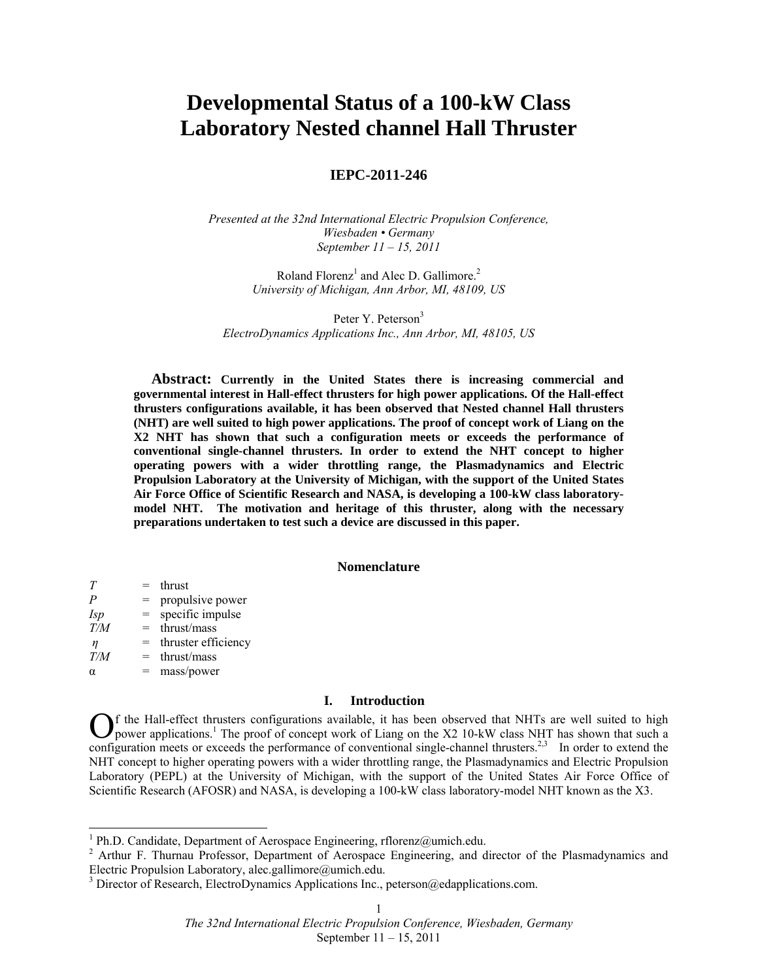# **Developmental Status of a 100-kW Class Laboratory Nested channel Hall Thruster**

# **IEPC-2011-246**

*Presented at the 32nd International Electric Propulsion Conference, Wiesbaden • Germany September 11 – 15, 2011* 

> Roland Florenz<sup>1</sup> and Alec D. Gallimore.<sup>2</sup> *University of Michigan, Ann Arbor, MI, 48109, US*

Peter Y. Peterson<sup>3</sup> *ElectroDynamics Applications Inc., Ann Arbor, MI, 48105, US* 

**Abstract: Currently in the United States there is increasing commercial and governmental interest in Hall-effect thrusters for high power applications. Of the Hall-effect thrusters configurations available, it has been observed that Nested channel Hall thrusters (NHT) are well suited to high power applications. The proof of concept work of Liang on the X2 NHT has shown that such a configuration meets or exceeds the performance of conventional single-channel thrusters. In order to extend the NHT concept to higher operating powers with a wider throttling range, the Plasmadynamics and Electric Propulsion Laboratory at the University of Michigan, with the support of the United States Air Force Office of Scientific Research and NASA, is developing a 100-kW class laboratorymodel NHT. The motivation and heritage of this thruster, along with the necessary preparations undertaken to test such a device are discussed in this paper.** 

#### **Nomenclature**

| T          | $=$ | thrust              |
|------------|-----|---------------------|
| P          | $=$ | propulsive power    |
| <i>Isp</i> | $=$ | specific impulse    |
| T/M        | $=$ | thrust/mass         |
| η          | $=$ | thruster efficiency |
| T/M        | $=$ | thrust/mass         |
| α          |     | mass/power          |

# **I. Introduction**

f the Hall-effect thrusters configurations available, it has been observed that NHTs are well suited to high  $\bigodot$  f the Hall-effect thrusters configurations available, it has been observed that NHTs are well suited to high power applications.<sup>1</sup> The proof of concept work of Liang on the X2 10-kW class NHT has shown that such a configuration meets or exceeds the performance of conventional single-channel thrusters.<sup>2,3</sup> In order to extend the NHT concept to higher operating powers with a wider throttling range, the Plasmadynamics and Electric Propulsion Laboratory (PEPL) at the University of Michigan, with the support of the United States Air Force Office of Scientific Research (AFOSR) and NASA, is developing a 100-kW class laboratory-model NHT known as the X3.

 $\frac{1}{1}$ 

<sup>&</sup>lt;sup>1</sup> Ph.D. Candidate, Department of Aerospace Engineering, rflorenz@umich.edu.<br><sup>2</sup> Arthur F. Thurnau Professor, Department of Aerospace Engineering, and director of the Plasmadynamics and Electric Propulsion Laboratory, alec.gallimore@umich.edu.

<sup>&</sup>lt;sup>3</sup> Director of Research, ElectroDynamics Applications Inc., peterson@edapplications.com.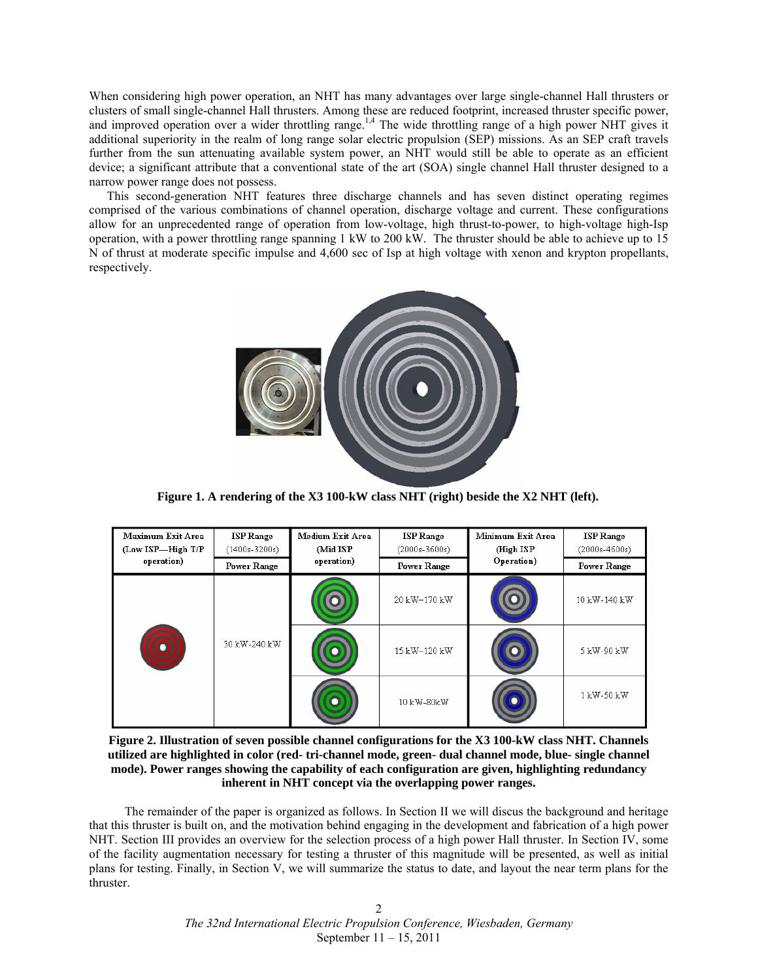When considering high power operation, an NHT has many advantages over large single-channel Hall thrusters or clusters of small single-channel Hall thrusters. Among these are reduced footprint, increased thruster specific power, and improved operation over a wider throttling range.<sup>1,4</sup> The wide throttling range of a high power NHT gives it additional superiority in the realm of long range solar electric propulsion (SEP) missions. As an SEP craft travels further from the sun attenuating available system power, an NHT would still be able to operate as an efficient device; a significant attribute that a conventional state of the art (SOA) single channel Hall thruster designed to a narrow power range does not possess.

This second-generation NHT features three discharge channels and has seven distinct operating regimes comprised of the various combinations of channel operation, discharge voltage and current. These configurations allow for an unprecedented range of operation from low-voltage, high thrust-to-power, to high-voltage high-Isp operation, with a power throttling range spanning 1 kW to 200 kW. The thruster should be able to achieve up to 15 N of thrust at moderate specific impulse and 4,600 sec of Isp at high voltage with xenon and krypton propellants, respectively.



**Figure 1. A rendering of the X3 100-kW class NHT (right) beside the X2 NHT (left).** 

| Maximum Exit Area<br>(Low ISP-High T/P | <b>ISP Range</b><br>$(1400s - 3200s)$ | Medium Exit Area<br>(Mid ISP | <b>ISP Range</b><br>$(2000s - 3600s)$ | Minimum Exit Area<br>(High ISP) | <b>ISP</b> Range<br>$(2000s-4600s)$ |
|----------------------------------------|---------------------------------------|------------------------------|---------------------------------------|---------------------------------|-------------------------------------|
| operation)                             | Power Range                           | operation)                   | <b>Power Range</b>                    | Operation)                      | <b>Power Range</b>                  |
|                                        | 30 kW-240 kW                          |                              | 20 kW-170 kW                          |                                 | 10 kW-140 kW                        |
|                                        |                                       |                              | 15 kW-120 kW                          |                                 | 5 kW-90 kW                          |
|                                        |                                       |                              | 10 kW-80kW                            |                                 | 1 kW-50 kW                          |

**Figure 2. Illustration of seven possible channel configurations for the X3 100-kW class NHT. Channels utilized are highlighted in color (red- tri-channel mode, green- dual channel mode, blue- single channel mode). Power ranges showing the capability of each configuration are given, highlighting redundancy inherent in NHT concept via the overlapping power ranges.** 

 The remainder of the paper is organized as follows. In Section II we will discus the background and heritage that this thruster is built on, and the motivation behind engaging in the development and fabrication of a high power NHT. Section III provides an overview for the selection process of a high power Hall thruster. In Section IV, some of the facility augmentation necessary for testing a thruster of this magnitude will be presented, as well as initial plans for testing. Finally, in Section V, we will summarize the status to date, and layout the near term plans for the thruster.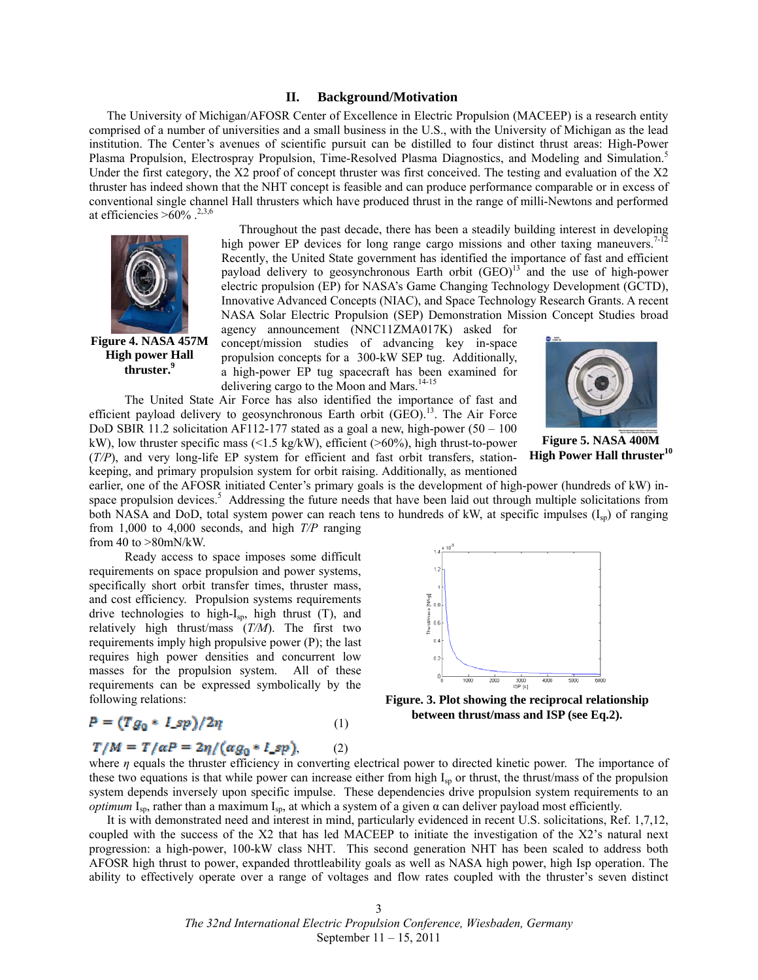#### **II. Background/Motivation**

The University of Michigan/AFOSR Center of Excellence in Electric Propulsion (MACEEP) is a research entity comprised of a number of universities and a small business in the U.S., with the University of Michigan as the lead institution. The Center's avenues of scientific pursuit can be distilled to four distinct thrust areas: High-Power Plasma Propulsion, Electrospray Propulsion, Time-Resolved Plasma Diagnostics, and Modeling and Simulation.<sup>5</sup> Under the first category, the X2 proof of concept thruster was first conceived. The testing and evaluation of the X2 thruster has indeed shown that the NHT concept is feasible and can produce performance comparable or in excess of conventional single channel Hall thrusters which have produced thrust in the range of milli-Newtons and performed at efficiencies  $>60\%$ .<sup>2,3,6</sup>



**Figure 4. NASA 457M High power Hall thruster.<sup>9</sup>**

Throughout the past decade, there has been a steadily building interest in developing high power EP devices for long range cargo missions and other taxing maneuvers.<sup>7-12</sup> Recently, the United State government has identified the importance of fast and efficient payload delivery to geosynchronous Earth orbit  $(GEO)^{13}$  and the use of high-power electric propulsion (EP) for NASA's Game Changing Technology Development (GCTD), Innovative Advanced Concepts (NIAC), and Space Technology Research Grants. A recent NASA Solar Electric Propulsion (SEP) Demonstration Mission Concept Studies broad

agency announcement (NNC11ZMA017K) asked for concept/mission studies of advancing key in-space propulsion concepts for a 300-kW SEP tug. Additionally, a high-power EP tug spacecraft has been examined for delivering cargo to the Moon and Mars.<sup>14-15</sup>

 The United State Air Force has also identified the importance of fast and efficient payload delivery to geosynchronous Earth orbit  $(GEO)$ .<sup>13</sup>. The Air Force DoD SBIR 11.2 solicitation AF112-177 stated as a goal a new, high-power  $(50 - 100$ kW), low thruster specific mass (<1.5 kg/kW), efficient (>60%), high thrust-to-power (*T/P*), and very long-life EP system for efficient and fast orbit transfers, stationkeeping, and primary propulsion system for orbit raising. Additionally, as mentioned



**Figure 5. NASA 400M High Power Hall thruster<sup>10</sup>**

earlier, one of the AFOSR initiated Center's primary goals is the development of high-power (hundreds of kW) inspace propulsion devices.<sup>5</sup> Addressing the future needs that have been laid out through multiple solicitations from both NASA and DoD, total system power can reach tens to hundreds of kW, at specific impulses  $(I_{\rm sn})$  of ranging from 1,000 to 4,000 seconds, and high *T/P* ranging from 40 to >80mN/kW.

 Ready access to space imposes some difficult requirements on space propulsion and power systems, specifically short orbit transfer times, thruster mass, and cost efficiency. Propulsion systems requirements drive technologies to high-I<sub>sp</sub>, high thrust (T), and relatively high thrust/mass (*T/M*). The first two requirements imply high propulsive power (P); the last requires high power densities and concurrent low masses for the propulsion system. All of these requirements can be expressed symbolically by the following relations:

$$
P = (Tg_0 * I_sp)/2\eta \tag{1}
$$

# $T/M = T/aP = 2\eta/(\alpha g_0 * I_s p),$  (2)



**Figure. 3. Plot showing the reciprocal relationship between thrust/mass and ISP (see Eq.2).** 

where *η* equals the thruster efficiency in converting electrical power to directed kinetic power. The importance of these two equations is that while power can increase either from high  $I_{\rm SD}$  or thrust, the thrust/mass of the propulsion system depends inversely upon specific impulse. These dependencies drive propulsion system requirements to an *optimum* I<sub>sp</sub>, rather than a maximum I<sub>sp</sub>, at which a system of a given  $\alpha$  can deliver payload most efficiently.

It is with demonstrated need and interest in mind, particularly evidenced in recent U.S. solicitations, Ref. 1,7,12, coupled with the success of the X2 that has led MACEEP to initiate the investigation of the X2's natural next progression: a high-power, 100-kW class NHT. This second generation NHT has been scaled to address both AFOSR high thrust to power, expanded throttleability goals as well as NASA high power, high Isp operation. The ability to effectively operate over a range of voltages and flow rates coupled with the thruster's seven distinct

> 3 *The 32nd International Electric Propulsion Conference, Wiesbaden, Germany*  September 11 – 15, 2011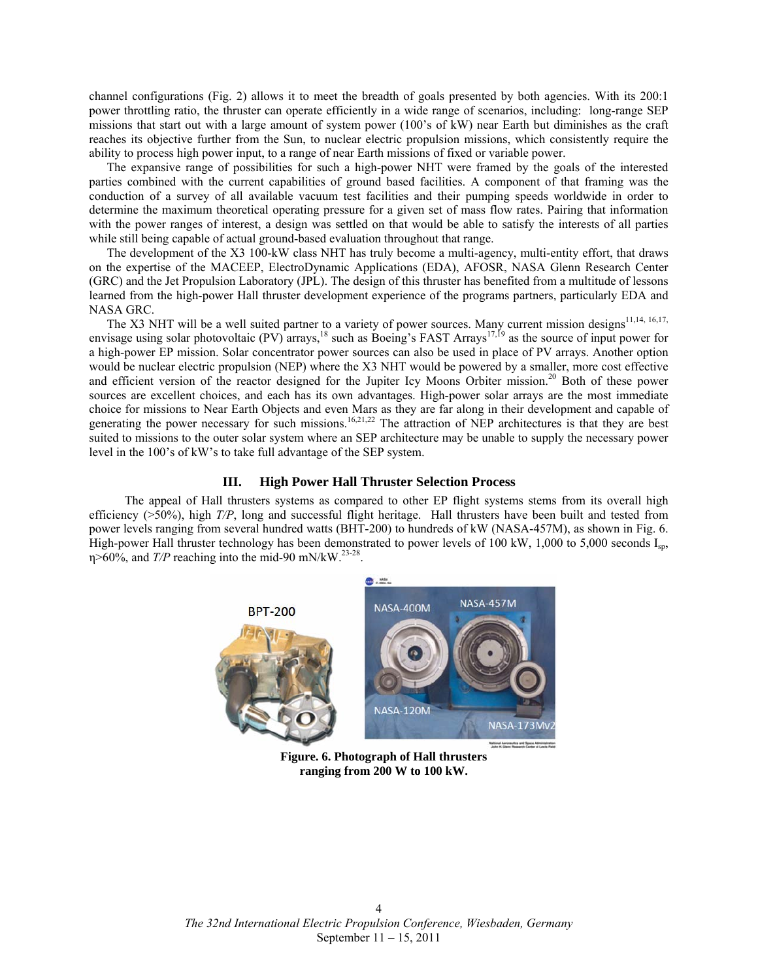channel configurations (Fig. 2) allows it to meet the breadth of goals presented by both agencies. With its 200:1 power throttling ratio, the thruster can operate efficiently in a wide range of scenarios, including: long-range SEP missions that start out with a large amount of system power (100's of kW) near Earth but diminishes as the craft reaches its objective further from the Sun, to nuclear electric propulsion missions, which consistently require the ability to process high power input, to a range of near Earth missions of fixed or variable power.

The expansive range of possibilities for such a high-power NHT were framed by the goals of the interested parties combined with the current capabilities of ground based facilities. A component of that framing was the conduction of a survey of all available vacuum test facilities and their pumping speeds worldwide in order to determine the maximum theoretical operating pressure for a given set of mass flow rates. Pairing that information with the power ranges of interest, a design was settled on that would be able to satisfy the interests of all parties while still being capable of actual ground-based evaluation throughout that range.

The development of the X3 100-kW class NHT has truly become a multi-agency, multi-entity effort, that draws on the expertise of the MACEEP, ElectroDynamic Applications (EDA), AFOSR, NASA Glenn Research Center (GRC) and the Jet Propulsion Laboratory (JPL). The design of this thruster has benefited from a multitude of lessons learned from the high-power Hall thruster development experience of the programs partners, particularly EDA and NASA GRC.

The X3 NHT will be a well suited partner to a variety of power sources. Many current mission designs<sup>11,14, 16,17,</sup> envisage using solar photovoltaic (PV) arrays,<sup>18</sup> such as Boeing's FAST Arrays<sup>17,19</sup> as the source of input power for a high-power EP mission. Solar concentrator power sources can also be used in place of PV arrays. Another option would be nuclear electric propulsion (NEP) where the X3 NHT would be powered by a smaller, more cost effective and efficient version of the reactor designed for the Jupiter Icy Moons Orbiter mission.<sup>20</sup> Both of these power sources are excellent choices, and each has its own advantages. High-power solar arrays are the most immediate choice for missions to Near Earth Objects and even Mars as they are far along in their development and capable of generating the power necessary for such missions.<sup>16,21,22</sup> The attraction of NEP architectures is that they are best suited to missions to the outer solar system where an SEP architecture may be unable to supply the necessary power level in the 100's of kW's to take full advantage of the SEP system.

# **III. High Power Hall Thruster Selection Process**

 The appeal of Hall thrusters systems as compared to other EP flight systems stems from its overall high efficiency (>50%), high *T/P*, long and successful flight heritage. Hall thrusters have been built and tested from power levels ranging from several hundred watts (BHT-200) to hundreds of kW (NASA-457M), as shown in Fig. 6. High-power Hall thruster technology has been demonstrated to power levels of 100 kW, 1,000 to 5,000 seconds I<sub>sp</sub>, η>60%, and *T*/P reaching into the mid-90 mN/kW.<sup>23-28</sup>.



**Figure. 6. Photograph of Hall thrusters ranging from 200 W to 100 kW.**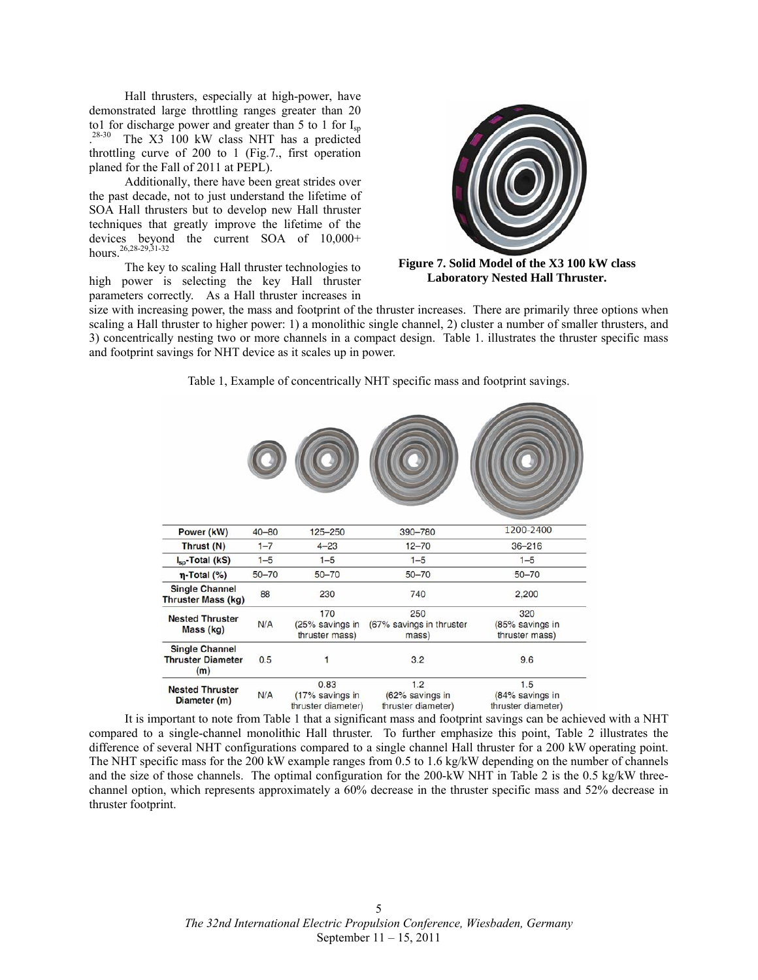Hall thrusters, especially at high-power, have demonstrated large throttling ranges greater than 20 to1 for discharge power and greater than 5 to 1 for  $I_{\text{sp}}$  $28-30$ The X3 100 kW class NHT has a predicted throttling curve of 200 to 1 (Fig.7., first operation planed for the Fall of 2011 at PEPL).

 Additionally, there have been great strides over the past decade, not to just understand the lifetime of SOA Hall thrusters but to develop new Hall thruster techniques that greatly improve the lifetime of the devices beyond the current SOA of 10,000+  $hours.<sup>26,28-29,31-32</sup>$ 

 The key to scaling Hall thruster technologies to high power is selecting the key Hall thruster parameters correctly. As a Hall thruster increases in



**Figure 7. Solid Model of the X3 100 kW class Laboratory Nested Hall Thruster.** 

size with increasing power, the mass and footprint of the thruster increases. There are primarily three options when scaling a Hall thruster to higher power: 1) a monolithic single channel, 2) cluster a number of smaller thrusters, and 3) concentrically nesting two or more channels in a compact design. Table 1. illustrates the thruster specific mass and footprint savings for NHT device as it scales up in power.

| Power (kW)                                               | $40 - 80$ | 125-250                                       | 390-780                                      | 1200-2400                                    |
|----------------------------------------------------------|-----------|-----------------------------------------------|----------------------------------------------|----------------------------------------------|
| Thrust (N)                                               | $1 - 7$   | $4 - 23$                                      | $12 - 70$                                    | $36 - 216$                                   |
| $I_{\rm{sp}}$ -Total (kS)                                | $1 - 5$   | $1 - 5$                                       | $1 - 5$                                      | $1 - 5$                                      |
| $\eta$ -Total (%)                                        | $50 - 70$ | $50 - 70$                                     | $50 - 70$                                    | $50 - 70$                                    |
| <b>Single Channel</b><br><b>Thruster Mass (kg)</b>       | 88        | 230                                           | 740                                          | 2,200                                        |
| <b>Nested Thruster</b><br>Mass (kg)                      | N/A       | 170<br>(25% savings in<br>thruster mass)      | 250<br>(67% savings in thruster<br>mass)     | 320<br>(85% savings in<br>thruster mass)     |
| <b>Single Channel</b><br><b>Thruster Diameter</b><br>(m) | 0.5       | 1                                             | 3.2                                          | 9.6                                          |
| <b>Nested Thruster</b><br>Diameter (m)                   | N/A       | 0.83<br>(17% savings in<br>thruster diameter) | 1.2<br>(62% savings in<br>thruster diameter) | 1.5<br>(84% savings in<br>thruster diameter) |

Table 1, Example of concentrically NHT specific mass and footprint savings.

 It is important to note from Table 1 that a significant mass and footprint savings can be achieved with a NHT compared to a single-channel monolithic Hall thruster. To further emphasize this point, Table 2 illustrates the difference of several NHT configurations compared to a single channel Hall thruster for a 200 kW operating point. The NHT specific mass for the 200 kW example ranges from 0.5 to 1.6 kg/kW depending on the number of channels and the size of those channels. The optimal configuration for the 200-kW NHT in Table 2 is the 0.5 kg/kW threechannel option, which represents approximately a 60% decrease in the thruster specific mass and 52% decrease in thruster footprint.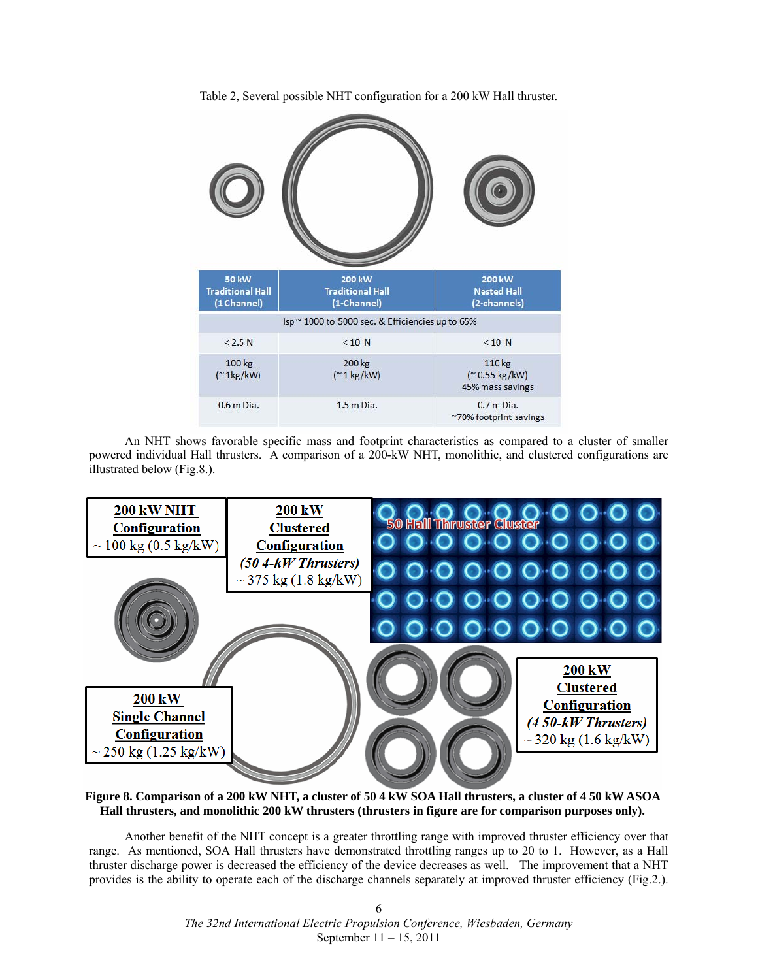Table 2, Several possible NHT configuration for a 200 kW Hall thruster.



 An NHT shows favorable specific mass and footprint characteristics as compared to a cluster of smaller powered individual Hall thrusters. A comparison of a 200-kW NHT, monolithic, and clustered configurations are illustrated below (Fig.8.).



**Figure 8. Comparison of a 200 kW NHT, a cluster of 50 4 kW SOA Hall thrusters, a cluster of 4 50 kW ASOA Hall thrusters, and monolithic 200 kW thrusters (thrusters in figure are for comparison purposes only).** 

 Another benefit of the NHT concept is a greater throttling range with improved thruster efficiency over that range. As mentioned, SOA Hall thrusters have demonstrated throttling ranges up to 20 to 1. However, as a Hall thruster discharge power is decreased the efficiency of the device decreases as well. The improvement that a NHT provides is the ability to operate each of the discharge channels separately at improved thruster efficiency (Fig.2.).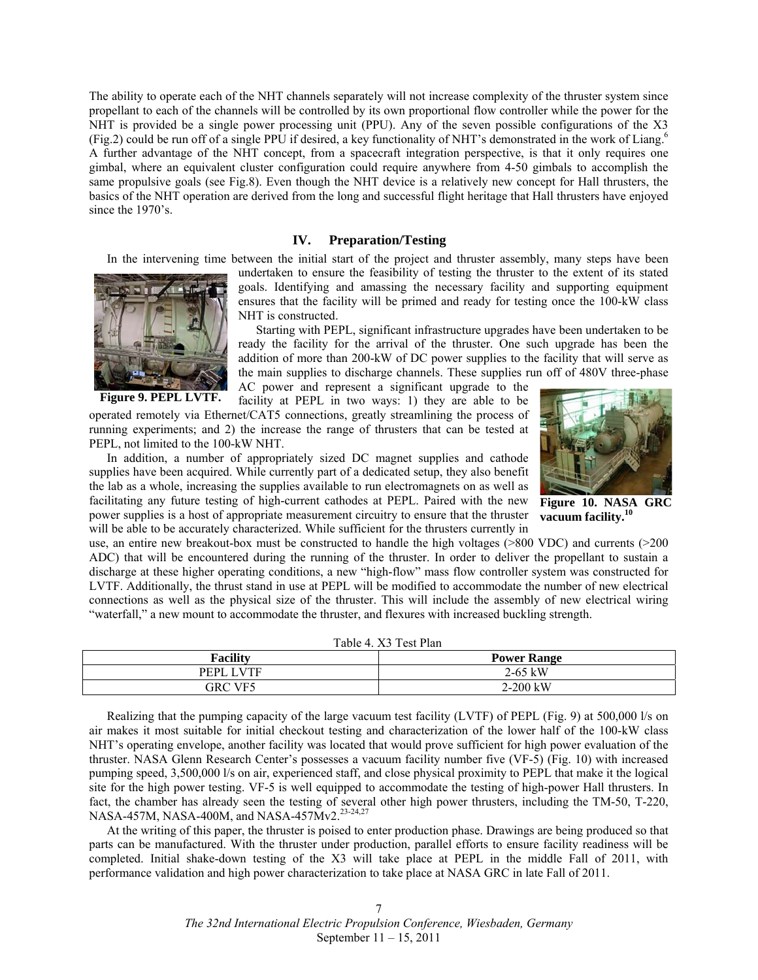The ability to operate each of the NHT channels separately will not increase complexity of the thruster system since propellant to each of the channels will be controlled by its own proportional flow controller while the power for the NHT is provided be a single power processing unit (PPU). Any of the seven possible configurations of the X3 (Fig.2) could be run off of a single PPU if desired, a key functionality of NHT's demonstrated in the work of Liang.6 A further advantage of the NHT concept, from a spacecraft integration perspective, is that it only requires one gimbal, where an equivalent cluster configuration could require anywhere from 4-50 gimbals to accomplish the same propulsive goals (see Fig.8). Even though the NHT device is a relatively new concept for Hall thrusters, the basics of the NHT operation are derived from the long and successful flight heritage that Hall thrusters have enjoyed since the 1970's.

#### **IV. Preparation/Testing**

In the intervening time between the initial start of the project and thruster assembly, many steps have been



**Figure 9. PEPL LVTF.** 

undertaken to ensure the feasibility of testing the thruster to the extent of its stated goals. Identifying and amassing the necessary facility and supporting equipment ensures that the facility will be primed and ready for testing once the 100-kW class NHT is constructed.

Starting with PEPL, significant infrastructure upgrades have been undertaken to be ready the facility for the arrival of the thruster. One such upgrade has been the addition of more than 200-kW of DC power supplies to the facility that will serve as the main supplies to discharge channels. These supplies run off of 480V three-phase AC power and represent a significant upgrade to the

facility at PEPL in two ways: 1) they are able to be

operated remotely via Ethernet/CAT5 connections, greatly streamlining the process of running experiments; and 2) the increase the range of thrusters that can be tested at PEPL, not limited to the 100-kW NHT.

In addition, a number of appropriately sized DC magnet supplies and cathode supplies have been acquired. While currently part of a dedicated setup, they also benefit the lab as a whole, increasing the supplies available to run electromagnets on as well as facilitating any future testing of high-current cathodes at PEPL. Paired with the new power supplies is a host of appropriate measurement circuitry to ensure that the thruster will be able to be accurately characterized. While sufficient for the thrusters currently in



**Figure 10. NASA GRC vacuum facility.<sup>10</sup>**

use, an entire new breakout-box must be constructed to handle the high voltages (>800 VDC) and currents (>200 ADC) that will be encountered during the running of the thruster. In order to deliver the propellant to sustain a discharge at these higher operating conditions, a new "high-flow" mass flow controller system was constructed for LVTF. Additionally, the thrust stand in use at PEPL will be modified to accommodate the number of new electrical connections as well as the physical size of the thruster. This will include the assembly of new electrical wiring "waterfall," a new mount to accommodate the thruster, and flexures with increased buckling strength.

| Table 4. A <sub>2</sub> Test Plan |                    |  |  |  |
|-----------------------------------|--------------------|--|--|--|
| <b>Facility</b>                   | <b>Power Range</b> |  |  |  |
| PEPL LVTF                         | $2-65$ kW          |  |  |  |
| GRC VF5                           | $2-200$ kW         |  |  |  |

 $T_{\rm t}$   $T_{\rm t}$   $T_{\rm t}$   $T_{\rm t}$   $T_{\rm t}$   $T_{\rm t}$ 

Realizing that the pumping capacity of the large vacuum test facility (LVTF) of PEPL (Fig. 9) at 500,000 l/s on air makes it most suitable for initial checkout testing and characterization of the lower half of the 100-kW class NHT's operating envelope, another facility was located that would prove sufficient for high power evaluation of the thruster. NASA Glenn Research Center's possesses a vacuum facility number five (VF-5) (Fig. 10) with increased pumping speed, 3,500,000 l/s on air, experienced staff, and close physical proximity to PEPL that make it the logical site for the high power testing. VF-5 is well equipped to accommodate the testing of high-power Hall thrusters. In fact, the chamber has already seen the testing of several other high power thrusters, including the TM-50, T-220, NASA-457M, NASA-400M, and NASA-457Mv2.<sup>23-24,27</sup>

At the writing of this paper, the thruster is poised to enter production phase. Drawings are being produced so that parts can be manufactured. With the thruster under production, parallel efforts to ensure facility readiness will be completed. Initial shake-down testing of the X3 will take place at PEPL in the middle Fall of 2011, with performance validation and high power characterization to take place at NASA GRC in late Fall of 2011.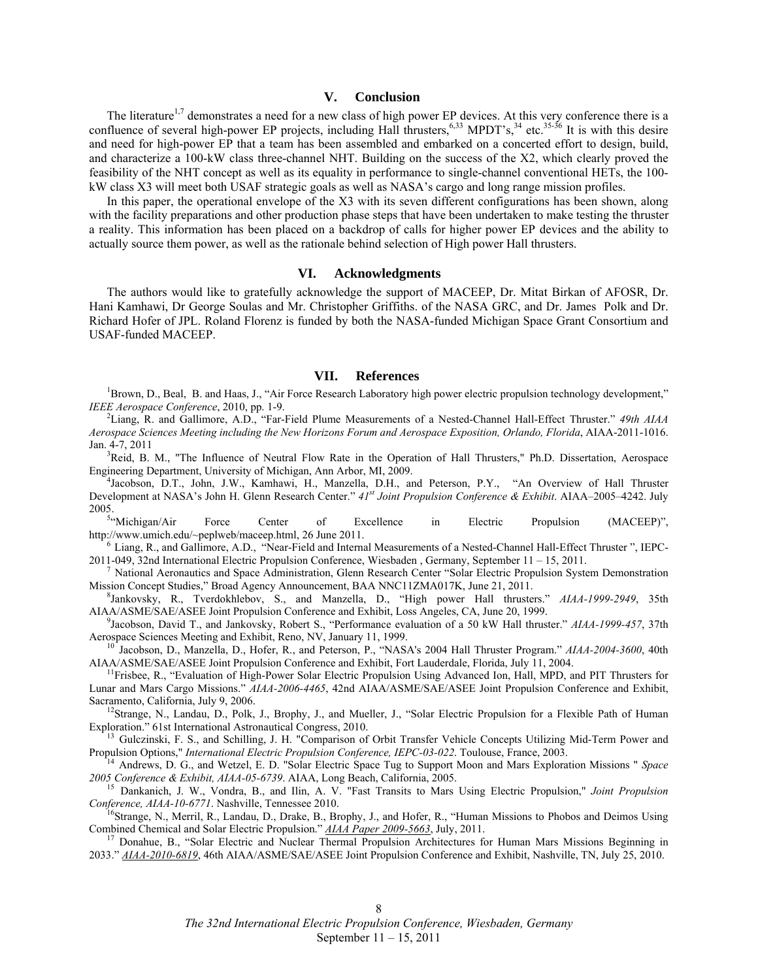# **V. Conclusion**

The literature<sup>1,7</sup> demonstrates a need for a new class of high power EP devices. At this very conference there is a confluence of several high-power EP projects, including Hall thrusters,<sup>6,33</sup> MPDT's,<sup>34</sup> etc.<sup>35-36</sup> It is with this desire and need for high-power EP that a team has been assembled and embarked on a concerted effort to design, build, and characterize a 100-kW class three-channel NHT. Building on the success of the X2, which clearly proved the feasibility of the NHT concept as well as its equality in performance to single-channel conventional HETs, the 100 kW class X3 will meet both USAF strategic goals as well as NASA's cargo and long range mission profiles.

In this paper, the operational envelope of the X3 with its seven different configurations has been shown, along with the facility preparations and other production phase steps that have been undertaken to make testing the thruster a reality. This information has been placed on a backdrop of calls for higher power EP devices and the ability to actually source them power, as well as the rationale behind selection of High power Hall thrusters.

### **VI. Acknowledgments**

The authors would like to gratefully acknowledge the support of MACEEP, Dr. Mitat Birkan of AFOSR, Dr. Hani Kamhawi, Dr George Soulas and Mr. Christopher Griffiths. of the NASA GRC, and Dr. James Polk and Dr. Richard Hofer of JPL. Roland Florenz is funded by both the NASA-funded Michigan Space Grant Consortium and USAF-funded MACEEP.

# **VII. References**

<sup>1</sup>Brown, D., Beal, B. and Haas, J., "Air Force Research Laboratory high power electric propulsion technology development," *IEEE Aerospace Conference*, 2010, pp. 1-9.

Liang, R. and Gallimore, A.D., "Far-Field Plume Measurements of a Nested-Channel Hall-Effect Thruster." *49th AIAA Aerospace Sciences Meeting including the New Horizons Forum and Aerospace Exposition, Orlando, Florida*, AIAA-2011-1016. Jan. 4-7, 2011

<sup>3</sup>Reid, B. M., "The Influence of Neutral Flow Rate in the Operation of Hall Thrusters," Ph.D. Dissertation, Aerospace Engineering Department, University of Michigan, Ann Arbor, MI, 2009. 4

<sup>4</sup>Jacobson, D.T., John, J.W., Kamhawi, H., Manzella, D.H., and Peterson, P.Y., "An Overview of Hall Thruster Development at NASA's John H. Glenn Research Center." *41st Joint Propulsion Conference & Exhibit*. AIAA–2005–4242. July 2005.

<sup>5</sup>"Michigan/Air Force Center of Excellence in Electric Propulsion (MACEEP)",

http://www.umich.edu/~peplweb/maceep.html, 26 June 2011.<br><sup>6</sup> Liang, R., and Gallimore, A.D., "Near-Field and Internal Measurements of a Nested-Channel Hall-Effect Thruster ", IEPC-<br>2011-049, 32nd International Electric Pro

National Aeronautics and Space Administration, Glenn Research Center "Solar Electric Propulsion System Demonstration Mission Concept Studies," Broad Agency Announcement, BAA NNC11ZMA017K, June 21, 2011.<br><sup>8</sup>Jankovsky, R., Tverdokhlebov, S., and Manzella, D., "High power Hall thrusters." *AIAA-1999-2949*, 35th

AIAA/ASME/SAE/ASEE Joint Propulsion Conference and Exhibit, Loss Angeles, CA, June 20, 1999. 9

Jacobson, David T., and Jankovsky, Robert S., "Performance evaluation of a 50 kW Hall thruster." *AIAA-1999-457*, 37th Aerospace Sciences Meeting and Exhibit, Reno, NV, January 11, 1999.<br><sup>10</sup> Jacobson, D., Manzella, D., Hofer, R., and Peterson, P., "NASA's 2004 Hall Thruster Program." *AIAA-2004-3600*, 40th

AIAA/ASME/SAE/ASEE Joint Propulsion Conference and Exhibit, Fort Lauderdale, Florida, July 11, 2004. <sup>11</sup>Frisbee, R., "Evaluation of High-Power Solar Electric Propulsion Using Advanced Ion, Hall, MPD, and PIT Thrusters for

Lunar and Mars Cargo Missions." *AIAA-2006-4465*, 42nd AIAA/ASME/SAE/ASEE Joint Propulsion Conference and Exhibit,

<sup>12</sup>Strange, N., Landau, D., Polk, J., Brophy, J., and Mueller, J., "Solar Electric Propulsion for a Flexible Path of Human Exploration." 61st International Astronautical Congress, 2010.

<sup>13</sup> Gulczinski, F. S., and Schilling, J. H. "Comparison of Orbit Transfer Vehicle Concepts Utilizing Mid-Term Power and Propulsion Options," *International Electric Propulsion Conference*, *IEPC-03-022*. Toulouse, France, 2003.<br><sup>14</sup> Andrews, D. G., and Wetzel, E. D. "Solar Electric Space Tug to Support Moon and Mars Exploration Missions " S

*2005 Conference & Exhibit, AIAA-05-6739*. AIAA, Long Beach, California, 2005. 15 Dankanich, J. W., Vondra, B., and Ilin, A. V. "Fast Transits to Mars Using Electric Propulsion," *Joint Propulsion* 

*Conference, AIAA-10-6771*. Nashville, Tennessee 2010.<br><sup>16</sup>Strange, N., Merril, R., Landau, D., Drake, B., Brophy, J., and Hofer, R., "Human Missions to Phobos and Deimos Using

Combined Chemical and Solar Electric Propulsion." *AIAA Paper 2009-5663*, July, 2011. 17 Donahue, B., "Solar Electric and Nuclear Thermal Propulsion Architectures for Human Mars Missions Beginning in

2033." *AIAA-2010-6819*, 46th AIAA/ASME/SAE/ASEE Joint Propulsion Conference and Exhibit, Nashville, TN, July 25, 2010.